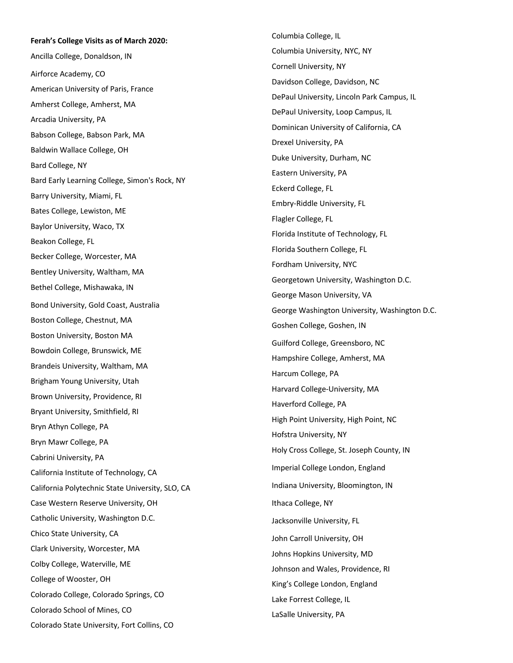## **Ferah's College Visits as of March 2020 :**

Ancilla College, Donaldson, IN Airforce Academy, CO American University of Paris, France Amherst College, Amherst, MA Arcadia University, PA Babson College, Babson Park, MA Baldwin Wallace College, OH Bard College, NY Bard Early Learning College, Simon's Rock, NY Barry University, Miami, FL Bates College, Lewiston, ME Baylor University, Waco, TX Beakon College, FL Becker College, Worcester, MA Bentley University, Waltham, MA Bethel College, Mishawaka, IN Bond University, Gold Coast, Australia Boston College, Chestnut, MA Boston University, Boston MA Bowdoin College, Brunswick, ME Brandeis University, Waltham, MA Brigham Young University, Utah Brown University, Providence, RI Bryant University, Smithfield, RI Bryn Athyn College, PA Bryn Mawr College, PA Cabrini University, PA California Institute of Technology, CA California Polytechnic State University, SLO, CA Case Western Reserve University, OH Catholic University, Washington D.C. Chico State University, CA Clark University, Worcester, MA Colby College, Waterville, ME College of Wooster, OH Colorado College, Colorado Springs, CO Colorado School of Mines, CO Colorado State University, Fort Collins, CO

Columbia College, IL Columbia University, NYC, NY Cornell University, NY Davidson College, Davidson, NC DePaul University, Lincoln Park Campus, IL DePaul University, Loop Campus, IL Dominican University of California, CA Drexel University, PA Duke University, Durham, NC Eastern University, PA Eckerd College, FL Embry -Riddle University, FL Flagler College, FL Florida Institute of Technology, FL Florida Southern College, FL Fordham University, NYC Georgetown University, Washington D.C. George Mason University, VA George Washington University, Washington D.C. Goshen College, Goshen, IN Guilford College, Greensboro, NC Hampshire College, Amherst, MA Harcum College, PA Harvard College -University, MA Haverford College, PA High Point University, High Point, NC Hofstra University, NY Holy Cross College, St. Joseph County, IN Imperial College London, England Indiana University, Bloomington, IN Ithaca College, NY Jacksonville University, FL John Carroll University, OH Johns Hopkins University, MD Johnson and Wales, Providence, RI King's College London, England Lake Forrest College, IL LaSalle University, PA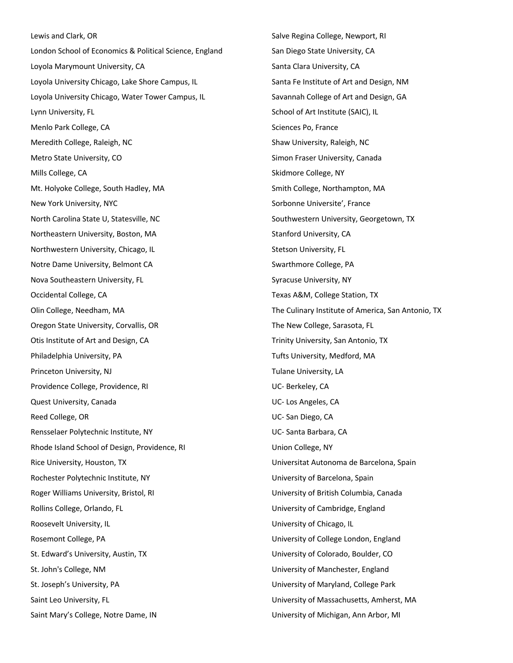Lewis and Clark, OR London School of Economics & Political Science, England Loyola Marymount University, CA Loyola University Chicago, Lake Shore Campus, IL Loyola University Chicago, Water Tower Campus, IL Lynn University, FL Menlo Park College, CA Meredith College, Raleigh, NC Metro State University, CO Mills College, CA Mt. Holyoke College, South Hadley, MA New York University, NYC North Carolina State U, Statesville, NC Northeastern University, Boston, MA Northwestern University, Chicago, IL Notre Dame University, Belmont CA Nova Southeastern University, FL Occidental College, CA Olin College, Needham, MA Oregon State University, Corvallis, OR Otis Institute of Art and Design, CA Philadelphia University, PA Princeton University, NJ Providence College, Providence, RI Quest University, Canada Reed College, OR Rensselaer Polytechnic Institute, NY Rhode Island School of Design, Providence, RI Rice University, Houston, TX Rochester Polytechnic Institute, NY Roger Williams University, Bristol, RI Rollins College, Orlando, FL Roosevelt University, IL Rosemont College, PA St. Edward's University, Austin, TX St. John's College, NM St. Joseph's University, PA Saint Leo University, FL Saint Mary's College, Notre Dame, IN

Salve Regina College, Newport, RI San Diego State University, CA Santa Clara University, CA Santa Fe Institute of Art and Design, NM Savannah College of Art and Design, GA School of Art Institute (SAIC), IL Sciences Po, France Shaw University, Raleigh, NC Simon Fraser University, Canada Skidmore College, NY Smith College, Northampton, MA Sorbonne Universite', France Southwestern University, Georgetown, TX Stanford University, CA Stetson University, FL Swarthmore College, PA Syracuse University, NY Texas A&M, College Station, TX The Culinary Institute of America, San Antonio, TX The New College, Sarasota, FL Trinity University, San Antonio, TX Tufts University, Medford, MA Tulane University, LA UC- Berkeley, CA UC- Los Angeles, CA UC- San Diego, CA UC- Santa Barbara, CA Union College, NY Universitat Autonoma de Barcelona, Spain University of Barcelona, Spain University of British Columbia, Canada University of Cambridge, England University of Chicago, IL University of College London, England University of Colorado, Boulder, CO University of Manchester, England University of Maryland, College Park University of Massachusetts, Amherst, MA University of Michigan, Ann Arbor, MI